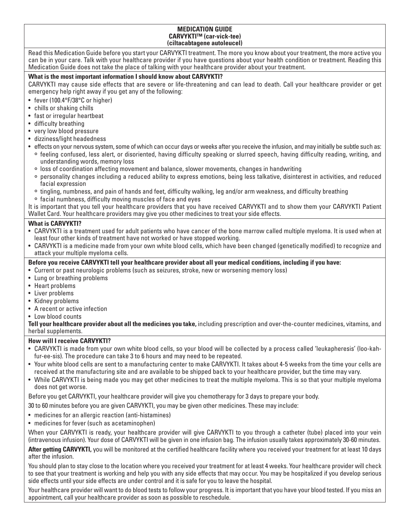#### **MEDICATION GUIDE CARVYKTI™ (car-vick-tee) (ciltacabtagene autoleucel)**

Read this Medication Guide before you start your CARVYKTI treatment. The more you know about your treatment, the more active you can be in your care. Talk with your healthcare provider if you have questions about your health condition or treatment. Reading this Medication Guide does not take the place of talking with your healthcare provider about your treatment.

## **What is the most important information I should know about CARVYKTI?**

CARVYKTI may cause side effects that are severe or life-threatening and can lead to death. Call your healthcare provider or get emergency help right away if you get any of the following:

- fever (100.4°F/38°C or higher)
- chills or shaking chills
- fast or irregular heartbeat
- difficulty breathing
- very low blood pressure
- dizziness/light headedness
- effects on your nervous system, some of which can occur days or weeks after you receive the infusion, and may initially be subtle such as:
	- ° feeling confused, less alert, or disoriented, having difficulty speaking or slurred speech, having difficulty reading, writing, and understanding words, memory loss
	- ° loss of coordination affecting movement and balance, slower movements, changes in handwriting
	- ° personality changes including a reduced ability to express emotions, being less talkative, disinterest in activities, and reduced facial expression
	- ° tingling, numbness, and pain of hands and feet, difficulty walking, leg and/or arm weakness, and difficulty breathing
	- ° facial numbness, difficulty moving muscles of face and eyes

It is important that you tell your healthcare providers that you have received CARVYKTI and to show them your CARVYKTI Patient Wallet Card. Your healthcare providers may give you other medicines to treat your side effects.

# **What is CARVYKTI?**

- CARVYKTI is a treatment used for adult patients who have cancer of the bone marrow called multiple myeloma. It is used when at least four other kinds of treatment have not worked or have stopped working.
- CARVYKTI is a medicine made from your own white blood cells, which have been changed (genetically modified) to recognize and attack your multiple myeloma cells.
- **Before you receive CARVYKTI tell your healthcare provider about all your medical conditions, including if you have:**
- Current or past neurologic problems (such as seizures, stroke, new or worsening memory loss)
- Lung or breathing problems
- Heart problems
- Liver problems
- Kidney problems
- A recent or active infection
- Low blood counts

**Tell your healthcare provider about all the medicines you take,** including prescription and over-the-counter medicines, vitamins, and herbal supplements.

# **How will I receive CARVYKTI?**

- CARVYKTI is made from your own white blood cells, so your blood will be collected by a process called 'leukapheresis' (loo-kahfur-ee-sis). The procedure can take 3 to 6 hours and may need to be repeated.
- Your white blood cells are sent to a manufacturing center to make CARVYKTI. It takes about 4-5 weeks from the time your cells are received at the manufacturing site and are available to be shipped back to your healthcare provider, but the time may vary.
- While CARVYKTI is being made you may get other medicines to treat the multiple myeloma. This is so that your multiple myeloma does not get worse.

Before you get CARVYKTI, your healthcare provider will give you chemotherapy for 3 days to prepare your body.

30 to 60 minutes before you are given CARVYKTI, you may be given other medicines. These may include:

- medicines for an allergic reaction (anti-histamines)
- medicines for fever (such as acetaminophen)

When your CARVYKTI is ready, your healthcare provider will give CARVYKTI to you through a catheter (tube) placed into your vein (intravenous infusion). Your dose of CARVYKTI will be given in one infusion bag. The infusion usually takes approximately 30-60 minutes.

After getting CARVYKTI, you will be monitored at the certified healthcare facility where you received your treatment for at least 10 days after the infusion.

You should plan to stay close to the location where you received your treatment for at least 4 weeks. Your healthcare provider will check to see that your treatment is working and help you with any side effects that may occur. You may be hospitalized if you develop serious side effects until your side effects are under control and it is safe for you to leave the hospital.

Your healthcare provider will want to do blood tests to follow your progress. It is important that you have your blood tested. If you miss an appointment, call your healthcare provider as soon as possible to reschedule.